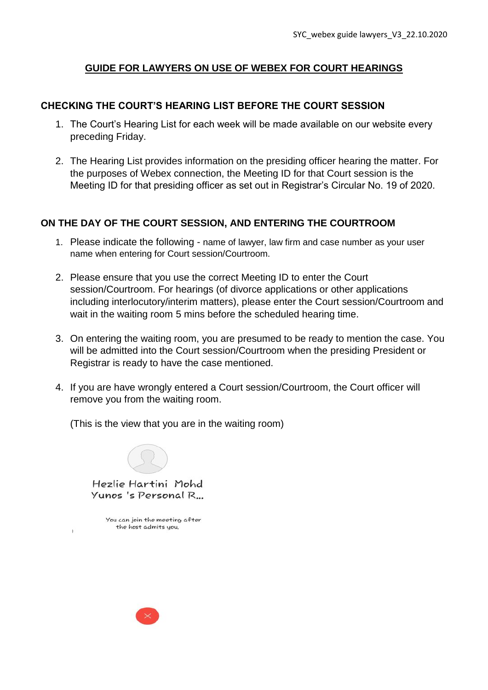# **GUIDE FOR LAWYERS ON USE OF WEBEX FOR COURT HEARINGS**

## **CHECKING THE COURT'S HEARING LIST BEFORE THE COURT SESSION**

- 1. The Court's Hearing List for each week will be made available on our website every preceding Friday.
- 2. The Hearing List provides information on the presiding officer hearing the matter. For the purposes of Webex connection, the Meeting ID for that Court session is the Meeting ID for that presiding officer as set out in Registrar's Circular No. 19 of 2020.

## **ON THE DAY OF THE COURT SESSION, AND ENTERING THE COURTROOM**

- 1. Please indicate the following name of lawyer, law firm and case number as your user name when entering for Court session/Courtroom.
- 2. Please ensure that you use the correct Meeting ID to enter the Court session/Courtroom. For hearings (of divorce applications or other applications including interlocutory/interim matters), please enter the Court session/Courtroom and wait in the waiting room 5 mins before the scheduled hearing time.
- 3. On entering the waiting room, you are presumed to be ready to mention the case. You will be admitted into the Court session/Courtroom when the presiding President or Registrar is ready to have the case mentioned.
- 4. If you are have wrongly entered a Court session/Courtroom, the Court officer will remove you from the waiting room.

(This is the view that you are in the waiting room)

Hezlie Hartini Mohd Yunos 's Personal R...

You can join the meeting after the host admits you.